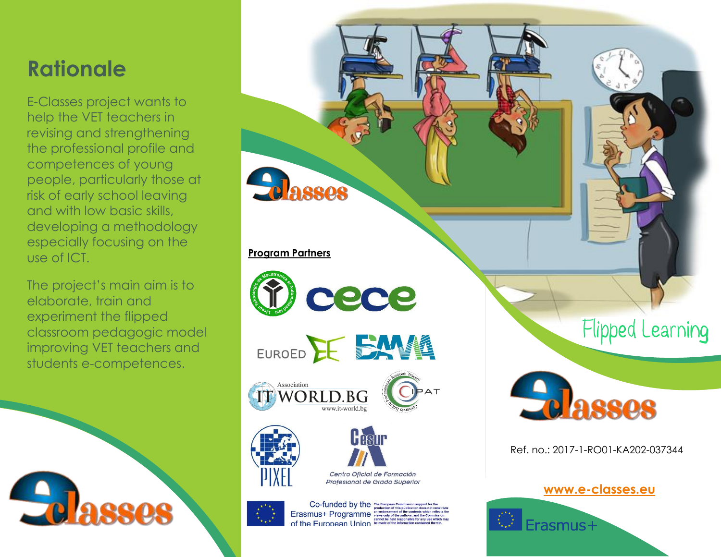# **Rationale**

E-Classes project wants to help the VET teachers in revising and strengthening the professional profile and competences of young people, particularly those at risk of early school leaving and with low basic skills, developing a methodology especially focusing on the use of ICT.

The project's main aim is to elaborate, train and experiment the flipped classroom pedagogic model improving VET teachers and students e-competences.